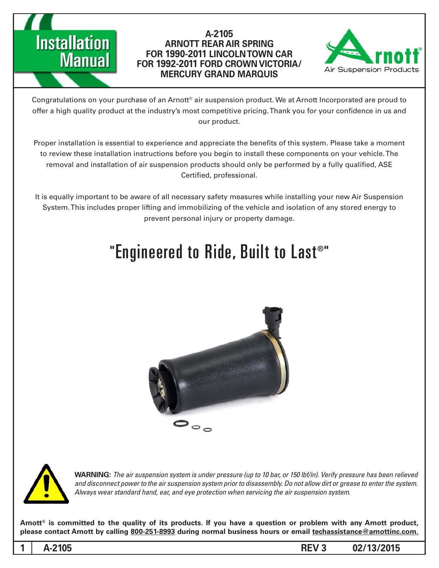## **Installation Manual**

#### A-2105 **ARNOTT REAR AIR SPRING CAR TOWN LINCOLN 1990-2011 FOR /VICTORIA CROWN FORD 1992-2011 FOR MERCURY GRAND MARQUIS**



Congratulations on your purchase of an Arnott® air suspension product. We at Arnott Incorporated are proud to offer a high quality product at the industry's most competitive pricing. Thank you for your confidence in us and our product.

Proper installation is essential to experience and appreciate the benefits of this system. Please take a moment to review these installation instructions before you begin to install these components on your vehicle. The removal and installation of air suspension products should only be performed by a fully qualified, ASE Certified, professional.

It is equally important to be aware of all necessary safety measures while installing your new Air Suspension System. This includes proper lifting and immobilizing of the vehicle and isolation of any stored energy to prevent personal injury or property damage.

### "Engineered to Ride, Built to Last®"





*WARNING: The air suspension system is under pressure (up to 10 bar, or 150 lbf/in). Verify pressure has been relieved* and disconnect power to the air suspension system prior to disassembly. Do not allow dirt or grease to enter the system. Always wear standard hand, ear, and eye protection when servicing the air suspension system.

Arnott<sup>®</sup> is committed to the quality of its products. If you have a question or problem with any Arnott product, please contact Arnott by calling 800-251-8993 during normal business hours or email techassistance@arnottinc.com.

**1**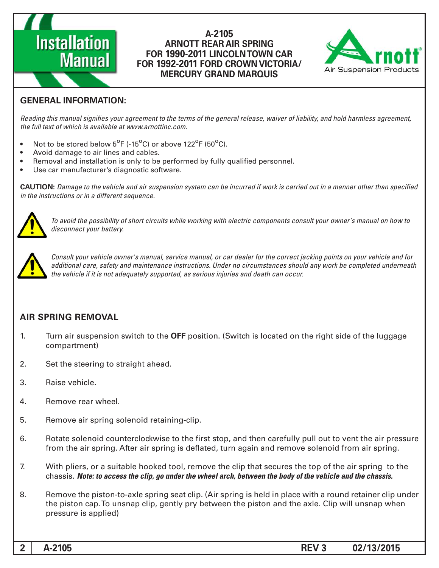# **Installation Manual**

#### A-2105 **ARNOTT REAR AIR SPRING FOR 1990-2011 LINCOLN TOWN CAR /VICTORIA CROWN FORD 1992-2011 FOR MERCURY GRAND MARQUIS**



#### **GENERAL INFORMATION:**

Reading this manual signifies your agreement to the terms of the general release, waiver of liability, and hold harmless agreement, the full text of which is available at www.arnottinc.com.

- Not to be stored below  $5^{\circ}$ F (-15 $^{\circ}$ C) or above 122 $^{\circ}$ F (50 $^{\circ}$ C).
- Avoid damage to air lines and cables.
- Removal and installation is only to be performed by fully qualified personnel.
- Use car manufacturer's diagnostic software.

**CAUTION:** Damage to the vehicle and air suspension system can be incurred if work is carried out in a manner other than specified *in the instructions or in a different sequence.* 



 *to how on manual s'owner your consult components electric with working while circuits short of possibility the avoid To* disconnect your battery.



*Consult your vehicle owner's manual, service manual, or car dealer for the correct jacking points on your vehicle and for* additional care, safety and maintenance instructions. Under no circumstances should any work be completed underneath the vehicle if it is not adequately supported, as serious injuries and death can occur.

#### **AIR SPRING REMOVAL**

- 1. Turn air suspension switch to the **OFF** position. (Switch is located on the right side of the luggage (compartment
- 2. Set the steering to straight ahead.
- 3. Raise vehicle.
- 4. Remove rear wheel.
- 5. Remove air spring solenoid retaining-clip.
- 6. Botate solenoid counterclockwise to the first stop, and then carefully pull out to vent the air pressure from the air spring. After air spring is deflated, turn again and remove solenoid from air spring.
- 7. With pliers, or a suitable hooked tool, remove the clip that secures the top of the air spring to the *chassis. Note: to access the clip, go under the wheel arch, between the body of the vehicle and the chassis.*
- 8. Bemove the piston-to-axle spring seat clip. (Air spring is held in place with a round retainer clip under the piston cap. To unsnap clip, gently pry between the piston and the axle. Clip will unsnap when pressure is applied)